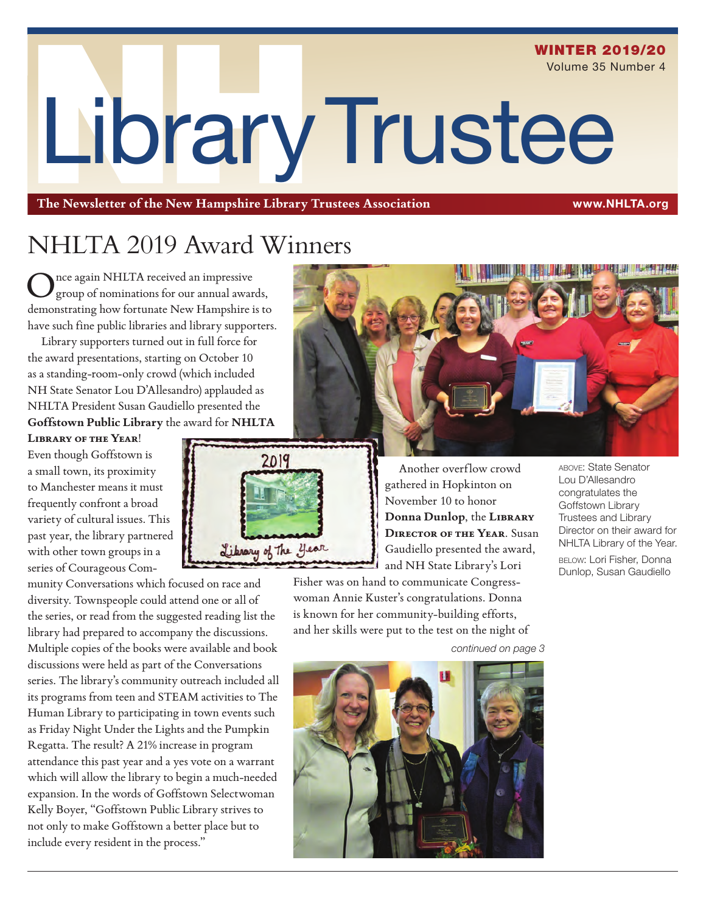# LibraryTrustee WINTER 2019/20 Volume 35 Number 4

**The Newsletter of the New Hampshire Library Trustees Association** www.NHLTA.org

### NHLTA 2019 Award Winners

nce again NHLTA received an impressive group of nominations for our annual awards, demonstrating how fortunate New Hampshire is to have such fine public libraries and library supporters.

Library supporters turned out in full force for the award presentations, starting on October 10 as a standing-room-only crowd (which included NH State Senator Lou D'Allesandro) applauded as NHLTA President Susan Gaudiello presented the **Goffstown Public Library** the award for **NHLTA**

**Library of the Year**! Even though Goffstown is a small town, its proximity to Manchester means it must frequently confront a broad variety of cultural issues. This past year, the library partnered with other town groups in a series of Courageous Com-

munity Conversations which focused on race and diversity. Townspeople could attend one or all of the series, or read from the suggested reading list the library had prepared to accompany the discussions. Multiple copies of the books were available and book discussions were held as part of the Conversations series. The library's community outreach included all its programs from teen and STEAM activities to The Human Library to participating in town events such as Friday Night Under the Lights and the Pumpkin Regatta. The result? A 21% increase in program attendance this past year and a yes vote on a warrant which will allow the library to begin a much-needed expansion. In the words of Goffstown Selectwoman Kelly Boyer, "Goffstown Public Library strives to not only to make Goffstown a better place but to include every resident in the process."



gathered in Hopkinton on November 10 to honor **Donna Dunlop**, the **Library Director of the Year**. Susan Gaudiello presented the award, and NH State Library's Lori

Fisher was on hand to communicate Congresswoman Annie Kuster's congratulations. Donna is known for her community-building efforts, and her skills were put to the test on the night of

above: State Senator Lou D'Allesandro congratulates the Goffstown Library Trustees and Library Director on their award for NHLTA Library of the Year. below: Lori Fisher, Donna Dunlop, Susan Gaudiello

*continued on page 3*



Another overflow crowd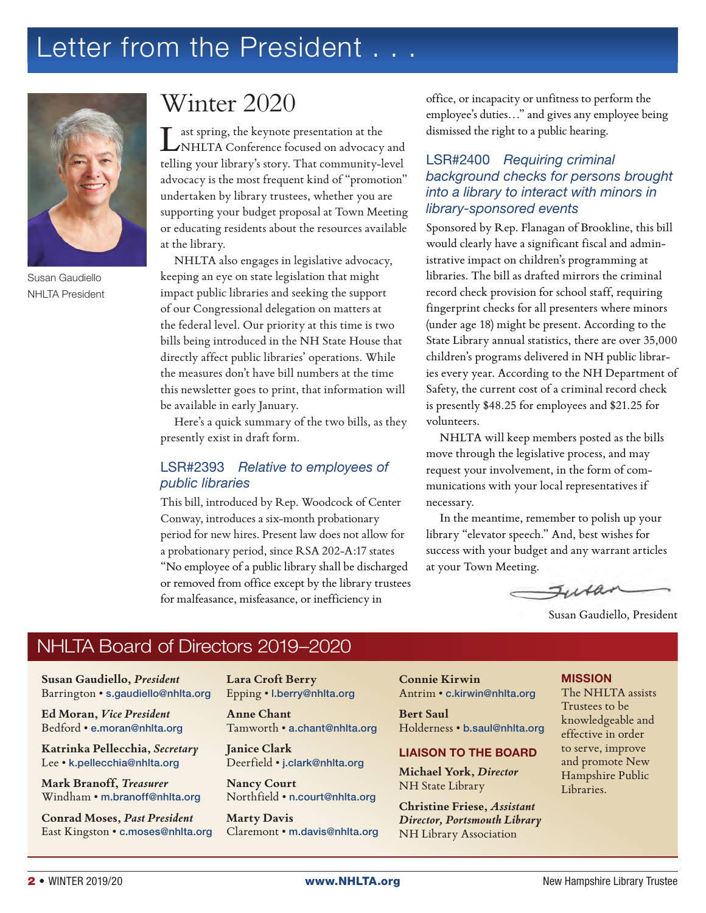### Letter from the President . . .



Susan Gaudiello NHLTA President

### Winter 2020

ast spring, the keynote presentation at the NHLTA Conference focused on advocacy and telling your library's story. That community-level advocacy is the most frequent kind of "promotion" undertaken by library trustees, whether you are supporting your budget proposal at Town Meeting or educating residents about the resources available at the library.

NHLTA also engages in legislative advocacy, keeping an eye on state legislation that might impact public libraries and seeking the support of our Congressional delegation on matters at the federal level. Our priority at this time is two bills being introduced in the NH State House that directly affect public libraries' operations. While the measures don't have bill numbers at the time this newsletter goes to print, that information will be available in early January.

Here's a quick summary of the two bills, as they presently exist in draft form.

#### LSR#2393 *Relative to employees of public libraries*

This bill, introduced by Rep. Woodcock of Center Conway, introduces a six-month probationary period for new hires. Present law does not allow for a probationary period, since RSA 202-A:17 states "No employee of a public library shall be discharged or removed from office except by the library trustees for malfeasance, misfeasance, or inefficiency in

office, or incapacity or unfitness to perform the employee's duties…" and gives any employee being dismissed the right to a public hearing.

#### LSR#2400 *Requiring criminal background checks for persons brought into a library to interact with minors in library-sponsored events*

Sponsored by Rep. Flanagan of Brookline, this bill would clearly have a significant fiscal and administrative impact on children's programming at libraries. The bill as drafted mirrors the criminal record check provision for school staff, requiring fingerprint checks for all presenters where minors (under age 18) might be present. According to the State Library annual statistics, there are over 35,000 children's programs delivered in NH public libraries every year. According to the NH Department of Safety, the current cost of a criminal record check is presently \$48.25 for employees and \$21.25 for volunteers.

NHLTA will keep members posted as the bills move through the legislative process, and may request your involvement, in the form of communications with your local representatives if necessary.

In the meantime, remember to polish up your library "elevator speech." And, best wishes for success with your budget and any warrant articles at your Town Meeting.

 $I\cup\mathcal{U}$ 

Susan Gaudiello, President

#### NHLTA Board of Directors 2019–2020

**Susan Gaudiello,** *President* Barrington • s.gaudiello@nhlta.org

**Ed Moran,** *Vice President* Bedford • e.moran@nhlta.org

**Katrinka Pellecchia,** *Secretary* Lee • k.pellecchia@nhlta.org

**Mark Branoff,** *Treasurer* Windham • m.branoff@nhlta.org

**Conrad Moses,** *Past President* East Kingston • c.moses@nhlta.org **Lara Croft Berry** Epping • l.berry@nhlta.org

**Anne Chant** Tamworth • a.chant@nhlta.org

**Janice Clark** Deerfield • j.clark@nhlta.org

**Nancy Court** Northfield • n.court@nhlta.org

**Marty Davis** Claremont • m.davis@nhlta.org **Connie Kirwin** Antrim • c.kirwin@nhlta.org

**Bert Saul** Holderness • b.saul@nhlta.org

#### LIAISON TO THE BOARD

**Michael York,** *Director* NH State Library

**Christine Friese,** *Assistant Director, Portsmouth Library*  NH Library Association

#### MISSION

The NHLTA assists Trustees to be knowledgeable and effective in order to serve, improve and promote New Hampshire Public Libraries.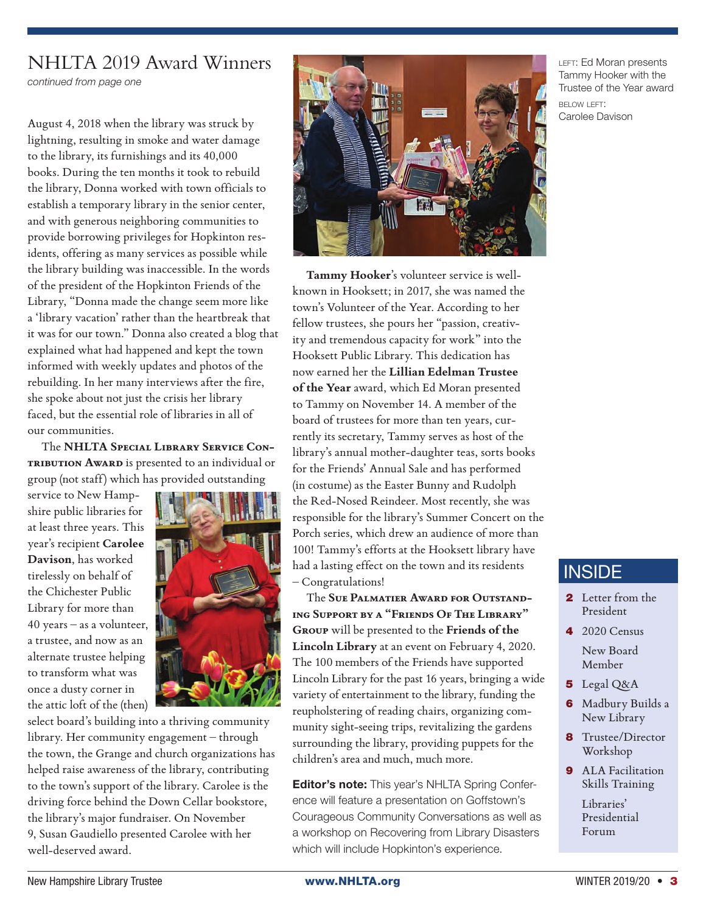#### NHLTA 2019 Award Winners

*continued from page one*

August 4, 2018 when the library was struck by lightning, resulting in smoke and water damage to the library, its furnishings and its 40,000 books. During the ten months it took to rebuild the library, Donna worked with town officials to establish a temporary library in the senior center, and with generous neighboring communities to provide borrowing privileges for Hopkinton residents, offering as many services as possible while the library building was inaccessible. In the words of the president of the Hopkinton Friends of the Library, "Donna made the change seem more like a 'library vacation' rather than the heartbreak that it was for our town." Donna also created a blog that explained what had happened and kept the town informed with weekly updates and photos of the rebuilding. In her many interviews after the fire, she spoke about not just the crisis her library faced, but the essential role of libraries in all of our communities.

The **NHLTA Special Library Service Con-TRIBUTION AWARD** is presented to an individual or group (not staff) which has provided outstanding

service to New Hampshire public libraries for at least three years. This year's recipient **Carolee Davison**, has worked tirelessly on behalf of the Chichester Public Library for more than 40 years – as a volunteer, a trustee, and now as an alternate trustee helping to transform what was once a dusty corner in the attic loft of the (then)



select board's building into a thriving community library. Her community engagement – through the town, the Grange and church organizations has helped raise awareness of the library, contributing to the town's support of the library. Carolee is the driving force behind the Down Cellar bookstore, the library's major fundraiser. On November 9, Susan Gaudiello presented Carolee with her well-deserved award.



**Tammy Hooker**'s volunteer service is wellknown in Hooksett; in 2017, she was named the town's Volunteer of the Year. According to her fellow trustees, she pours her "passion, creativity and tremendous capacity for work" into the Hooksett Public Library. This dedication has now earned her the **Lillian Edelman Trustee of the Year** award, which Ed Moran presented to Tammy on November 14. A member of the board of trustees for more than ten years, currently its secretary, Tammy serves as host of the library's annual mother-daughter teas, sorts books for the Friends' Annual Sale and has performed (in costume) as the Easter Bunny and Rudolph the Red-Nosed Reindeer. Most recently, she was responsible for the library's Summer Concert on the Porch series, which drew an audience of more than 100! Tammy's efforts at the Hooksett library have had a lasting effect on the town and its residents – Congratulations!

The **Sue Palmatier Award for Outstanding Support by a "Friends Of The Library" Group** will be presented to the **Friends of the Lincoln Library** at an event on February 4, 2020. The 100 members of the Friends have supported Lincoln Library for the past 16 years, bringing a wide variety of entertainment to the library, funding the reupholstering of reading chairs, organizing community sight-seeing trips, revitalizing the gardens surrounding the library, providing puppets for the children's area and much, much more.

**Editor's note:** This year's NHLTA Spring Conference will feature a presentation on Goffstown's Courageous Community Conversations as well as a workshop on Recovering from Library Disasters which will include Hopkinton's experience.

LEFT: Ed Moran presents Tammy Hooker with the Trustee of the Year award

BELOW LEFT: Carolee Davison

#### **INSIDE**

- 2 Letter from the President
- $4.2020$  Census New Board Member
- 5 Legal Q&A
- **6** Madbury Builds a New Library
- **8** Trustee/Director Workshop
- **9** ALA Facilitation Skills Training Libraries' Presidential

Forum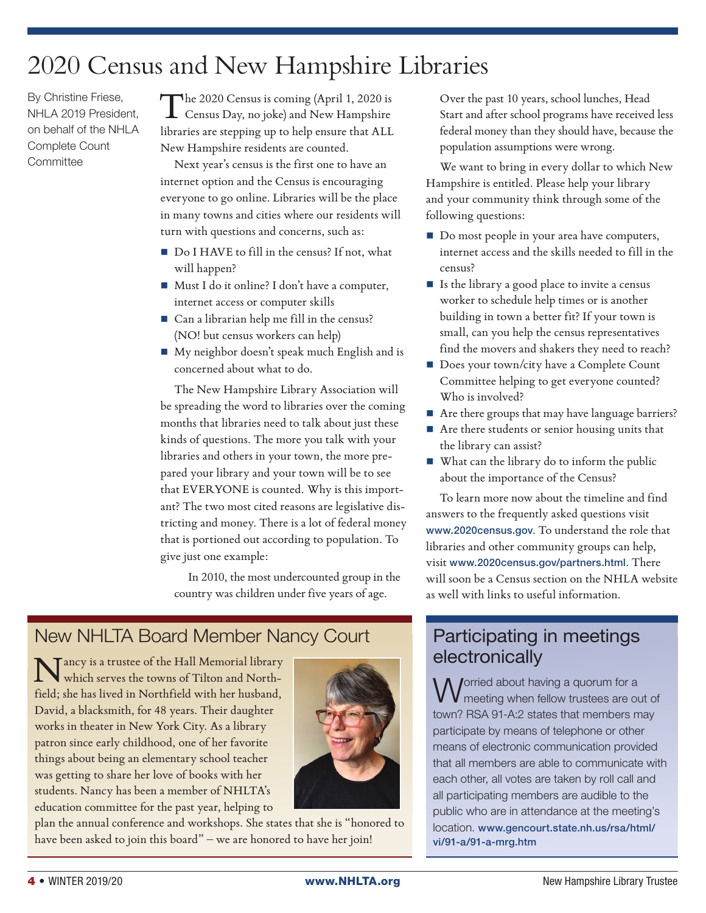### 2020 Census and New Hampshire Libraries

By Christine Friese, NHLA 2019 President, on behalf of the NHLA Complete Count **Committee** 

The 2020 Census is coming (April 1, 2020 is Census Day, no joke) and New Hampshire libraries are stepping up to help ensure that ALL New Hampshire residents are counted.

Next year's census is the first one to have an internet option and the Census is encouraging everyone to go online. Libraries will be the place in many towns and cities where our residents will turn with questions and concerns, such as:

- Do I HAVE to fill in the census? If not, what will happen?
- Must I do it online? I don't have a computer, internet access or computer skills
- Can a librarian help me fill in the census? (NO! but census workers can help)
- My neighbor doesn't speak much English and is concerned about what to do.

The New Hampshire Library Association will be spreading the word to libraries over the coming months that libraries need to talk about just these kinds of questions. The more you talk with your libraries and others in your town, the more prepared your library and your town will be to see that EVERYONE is counted. Why is this important? The two most cited reasons are legislative districting and money. There is a lot of federal money that is portioned out according to population. To give just one example:

In 2010, the most undercounted group in the country was children under five years of age.

### New NHLTA Board Member Nancy Court

Nancy is a trustee of the Hall Memorial library which serves the towns of Tilton and Northfield; she has lived in Northfield with her husband, David, a blacksmith, for 48 years. Their daughter works in theater in New York City. As a library patron since early childhood, one of her favorite things about being an elementary school teacher was getting to share her love of books with her students. Nancy has been a member of NHLTA's education committee for the past year, helping to



plan the annual conference and workshops. She states that she is "honored to have been asked to join this board" – we are honored to have her join!

Over the past 10 years, school lunches, Head Start and after school programs have received less federal money than they should have, because the population assumptions were wrong.

We want to bring in every dollar to which New Hampshire is entitled. Please help your library and your community think through some of the following questions:

- Do most people in your area have computers, internet access and the skills needed to fill in the census?
- $\blacksquare$  Is the library a good place to invite a census worker to schedule help times or is another building in town a better fit? If your town is small, can you help the census representatives find the movers and shakers they need to reach?
- Does your town/city have a Complete Count Committee helping to get everyone counted? Who is involved?
- Are there groups that may have language barriers?
- Are there students or senior housing units that the library can assist?
- What can the library do to inform the public about the importance of the Census?

To learn more now about the timeline and find answers to the frequently asked questions visit www.2020census.gov. To understand the role that libraries and other community groups can help, visit www.2020census.gov/partners.html. There will soon be a Census section on the NHLA website as well with links to useful information.

### Participating in meetings electronically

Worried about having a quorum for a **V** meeting when fellow trustees are out of town? RSA 91-A:2 states that members may participate by means of telephone or other means of electronic communication provided that all members are able to communicate with each other, all votes are taken by roll call and all participating members are audible to the public who are in attendance at the meeting's location. www.gencourt.state.nh.us/rsa/html/ vi/91-a/91-a-mrg.htm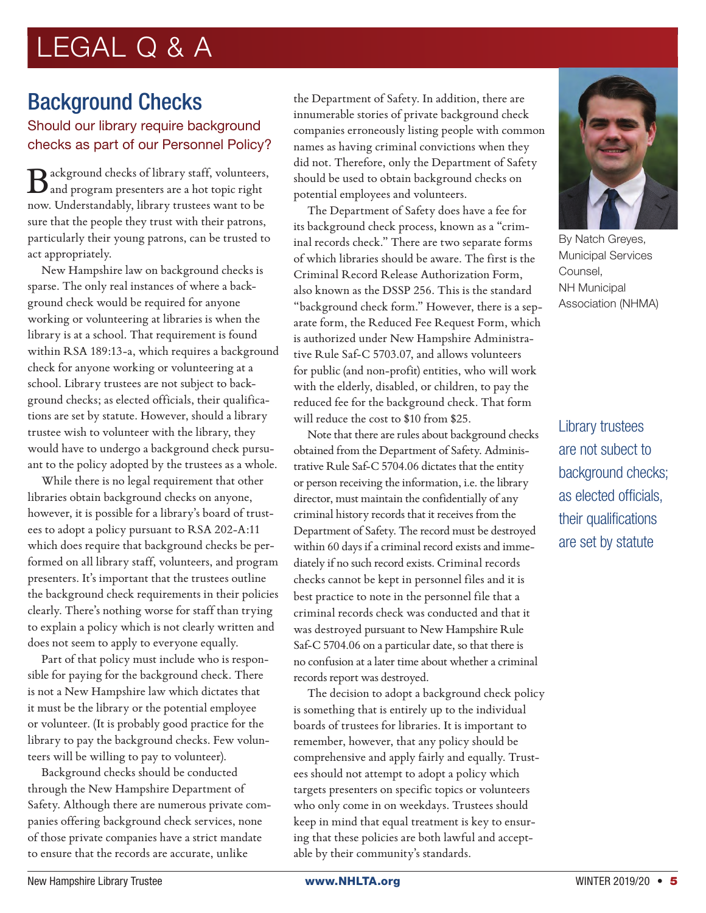## LEGAL Q & A

### Background Checks

#### Should our library require background checks as part of our Personnel Policy?

 $\mathbf{B}\text{ackground checks of library staff, volunteers,}$ now. Understandably, library trustees want to be sure that the people they trust with their patrons, particularly their young patrons, can be trusted to act appropriately.

New Hampshire law on background checks is sparse. The only real instances of where a background check would be required for anyone working or volunteering at libraries is when the library is at a school. That requirement is found within RSA 189:13-a, which requires a background check for anyone working or volunteering at a school. Library trustees are not subject to background checks; as elected officials, their qualifications are set by statute. However, should a library trustee wish to volunteer with the library, they would have to undergo a background check pursuant to the policy adopted by the trustees as a whole.

While there is no legal requirement that other libraries obtain background checks on anyone, however, it is possible for a library's board of trustees to adopt a policy pursuant to RSA 202-A:11 which does require that background checks be performed on all library staff, volunteers, and program presenters. It's important that the trustees outline the background check requirements in their policies clearly. There's nothing worse for staff than trying to explain a policy which is not clearly written and does not seem to apply to everyone equally.

Part of that policy must include who is responsible for paying for the background check. There is not a New Hampshire law which dictates that it must be the library or the potential employee or volunteer. (It is probably good practice for the library to pay the background checks. Few volunteers will be willing to pay to volunteer).

Background checks should be conducted through the New Hampshire Department of Safety. Although there are numerous private companies offering background check services, none of those private companies have a strict mandate to ensure that the records are accurate, unlike

the Department of Safety. In addition, there are innumerable stories of private background check companies erroneously listing people with common names as having criminal convictions when they did not. Therefore, only the Department of Safety should be used to obtain background checks on potential employees and volunteers.

The Department of Safety does have a fee for its background check process, known as a "criminal records check." There are two separate forms of which libraries should be aware. The first is the Criminal Record Release Authorization Form, also known as the DSSP 256. This is the standard "background check form." However, there is a separate form, the Reduced Fee Request Form, which is authorized under New Hampshire Administrative Rule Saf-C 5703.07, and allows volunteers for public (and non-profit) entities, who will work with the elderly, disabled, or children, to pay the reduced fee for the background check. That form will reduce the cost to \$10 from \$25.

Note that there are rules about background checks obtained from the Department of Safety. Administrative Rule Saf-C 5704.06 dictates that the entity or person receiving the information, i.e. the library director, must maintain the confidentially of any criminal history records that it receives from the Department of Safety. The record must be destroyed within 60 days if a criminal record exists and immediately if no such record exists. Criminal records checks cannot be kept in personnel files and it is best practice to note in the personnel file that a criminal records check was conducted and that it was destroyed pursuant to New Hampshire Rule Saf-C 5704.06 on a particular date, so that there is no confusion at a later time about whether a criminal records report was destroyed.

The decision to adopt a background check policy is something that is entirely up to the individual boards of trustees for libraries. It is important to remember, however, that any policy should be comprehensive and apply fairly and equally. Trustees should not attempt to adopt a policy which targets presenters on specific topics or volunteers who only come in on weekdays. Trustees should keep in mind that equal treatment is key to ensuring that these policies are both lawful and acceptable by their community's standards.



By Natch Greyes, Municipal Services Counsel, NH Municipal Association (NHMA)

Library trustees are not subect to background checks; as elected officials, their qualifications are set by statute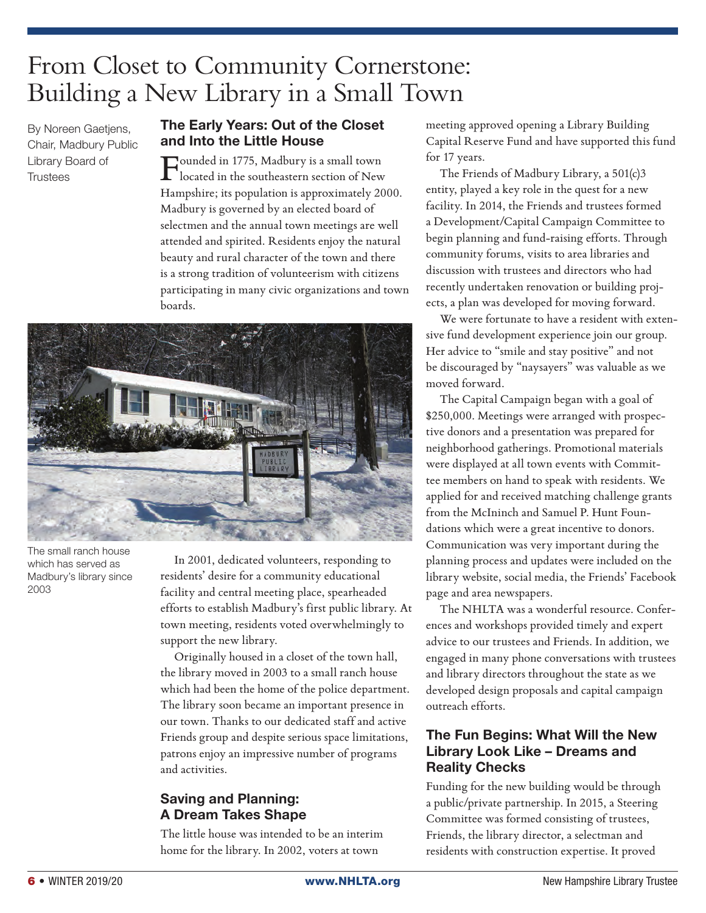### From Closet to Community Cornerstone: Building a New Library in a Small Town

By Noreen Gaetjens, Chair, Madbury Public Library Board of **Trustees** 

#### The Early Years: Out of the Closet and Into the Little House

Founded in 1775, Madbury is a small town located in the southeastern section of New Hampshire; its population is approximately 2000. Madbury is governed by an elected board of selectmen and the annual town meetings are well attended and spirited. Residents enjoy the natural beauty and rural character of the town and there is a strong tradition of volunteerism with citizens participating in many civic organizations and town boards.



The small ranch house which has served as Madbury's library since 2003

In 2001, dedicated volunteers, responding to residents' desire for a community educational facility and central meeting place, spearheaded efforts to establish Madbury's first public library. At town meeting, residents voted overwhelmingly to support the new library.

Originally housed in a closet of the town hall, the library moved in 2003 to a small ranch house which had been the home of the police department. The library soon became an important presence in our town. Thanks to our dedicated staff and active Friends group and despite serious space limitations, patrons enjoy an impressive number of programs and activities.

#### Saving and Planning: A Dream Takes Shape

The little house was intended to be an interim home for the library. In 2002, voters at town

meeting approved opening a Library Building Capital Reserve Fund and have supported this fund for 17 years.

The Friends of Madbury Library, a 501(c)3 entity, played a key role in the quest for a new facility. In 2014, the Friends and trustees formed a Development/Capital Campaign Committee to begin planning and fund-raising efforts. Through community forums, visits to area libraries and discussion with trustees and directors who had recently undertaken renovation or building projects, a plan was developed for moving forward.

We were fortunate to have a resident with extensive fund development experience join our group. Her advice to "smile and stay positive" and not be discouraged by "naysayers" was valuable as we moved forward.

The Capital Campaign began with a goal of \$250,000. Meetings were arranged with prospective donors and a presentation was prepared for neighborhood gatherings. Promotional materials were displayed at all town events with Committee members on hand to speak with residents. We applied for and received matching challenge grants from the McIninch and Samuel P. Hunt Foundations which were a great incentive to donors. Communication was very important during the planning process and updates were included on the library website, social media, the Friends' Facebook page and area newspapers.

The NHLTA was a wonderful resource. Conferences and workshops provided timely and expert advice to our trustees and Friends. In addition, we engaged in many phone conversations with trustees and library directors throughout the state as we developed design proposals and capital campaign outreach efforts.

#### The Fun Begins: What Will the New Library Look Like – Dreams and Reality Checks

Funding for the new building would be through a public/private partnership. In 2015, a Steering Committee was formed consisting of trustees, Friends, the library director, a selectman and residents with construction expertise. It proved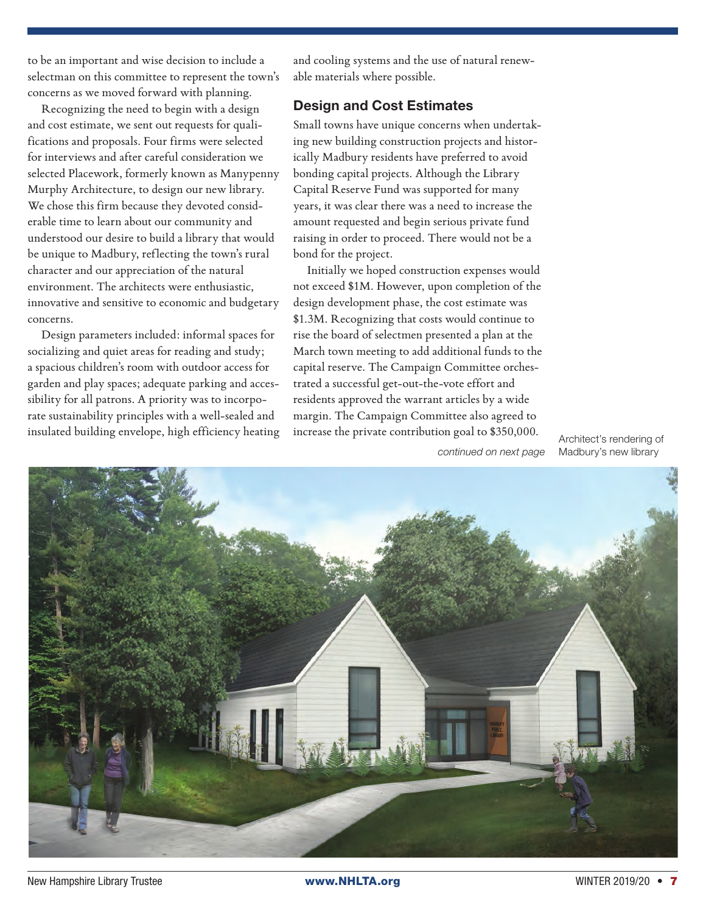to be an important and wise decision to include a selectman on this committee to represent the town's concerns as we moved forward with planning.

Recognizing the need to begin with a design and cost estimate, we sent out requests for qualifications and proposals. Four firms were selected for interviews and after careful consideration we selected Placework, formerly known as Manypenny Murphy Architecture, to design our new library. We chose this firm because they devoted considerable time to learn about our community and understood our desire to build a library that would be unique to Madbury, reflecting the town's rural character and our appreciation of the natural environment. The architects were enthusiastic, innovative and sensitive to economic and budgetary concerns.

Design parameters included: informal spaces for socializing and quiet areas for reading and study; a spacious children's room with outdoor access for garden and play spaces; adequate parking and accessibility for all patrons. A priority was to incorporate sustainability principles with a well-sealed and insulated building envelope, high efficiency heating

and cooling systems and the use of natural renewable materials where possible.

#### Design and Cost Estimates

Small towns have unique concerns when undertaking new building construction projects and historically Madbury residents have preferred to avoid bonding capital projects. Although the Library Capital Reserve Fund was supported for many years, it was clear there was a need to increase the amount requested and begin serious private fund raising in order to proceed. There would not be a bond for the project.

Initially we hoped construction expenses would not exceed \$1M. However, upon completion of the design development phase, the cost estimate was \$1.3M. Recognizing that costs would continue to rise the board of selectmen presented a plan at the March town meeting to add additional funds to the capital reserve. The Campaign Committee orchestrated a successful get-out-the-vote effort and residents approved the warrant articles by a wide margin. The Campaign Committee also agreed to increase the private contribution goal to \$350,000.

*continued on next page*

Architect's rendering of Madbury's new library

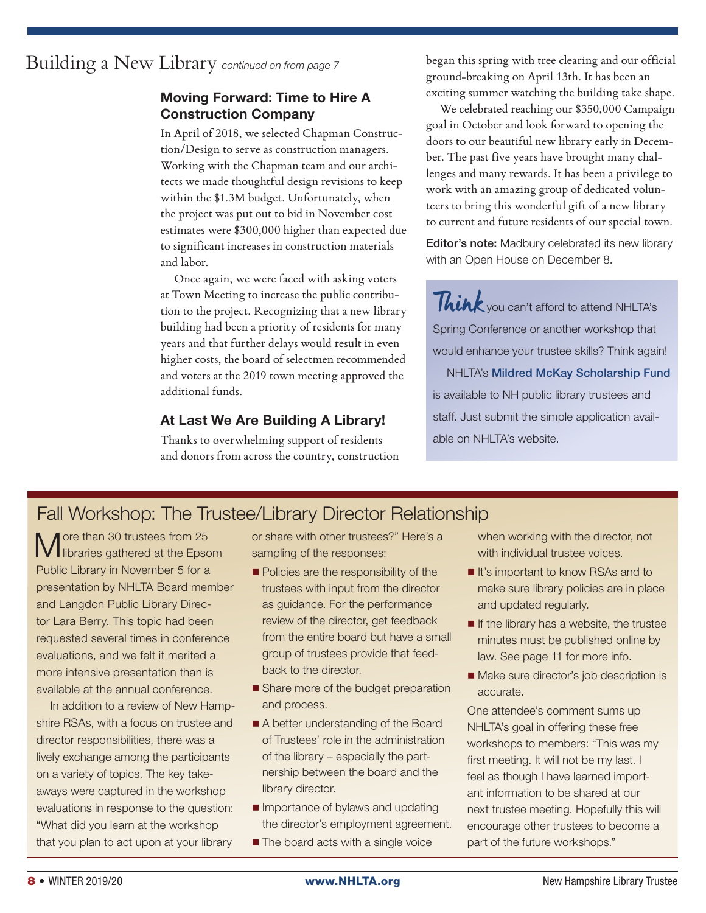Building a New Library *continued on from page 7*

#### Moving Forward: Time to Hire A Construction Company

In April of 2018, we selected Chapman Construction/Design to serve as construction managers. Working with the Chapman team and our architects we made thoughtful design revisions to keep within the \$1.3M budget. Unfortunately, when the project was put out to bid in November cost estimates were \$300,000 higher than expected due to significant increases in construction materials and labor.

Once again, we were faced with asking voters at Town Meeting to increase the public contribution to the project. Recognizing that a new library building had been a priority of residents for many years and that further delays would result in even higher costs, the board of selectmen recommended and voters at the 2019 town meeting approved the additional funds.

#### At Last We Are Building A Library!

Thanks to overwhelming support of residents and donors from across the country, construction began this spring with tree clearing and our official ground-breaking on April 13th. It has been an exciting summer watching the building take shape.

We celebrated reaching our \$350,000 Campaign goal in October and look forward to opening the doors to our beautiful new library early in December. The past five years have brought many challenges and many rewards. It has been a privilege to work with an amazing group of dedicated volunteers to bring this wonderful gift of a new library to current and future residents of our special town.

Editor's note: Madbury celebrated its new library with an Open House on December 8.

Think you can't afford to attend NHLTA's Spring Conference or another workshop that would enhance your trustee skills? Think again! **NHLTA's Mildred McKay Scholarship Fund** is available to NH public library trustees and staff. Just submit the simple application available on NHLTA's website.

### Fall Workshop: The Trustee/Library Director Relationship

More than 30 trustees from 25 libraries gathered at the Epsom Public Library in November 5 for a presentation by NHLTA Board member and Langdon Public Library Director Lara Berry. This topic had been requested several times in conference evaluations, and we felt it merited a more intensive presentation than is available at the annual conference.

In addition to a review of New Hampshire RSAs, with a focus on trustee and director responsibilities, there was a lively exchange among the participants on a variety of topics. The key takeaways were captured in the workshop evaluations in response to the question: "What did you learn at the workshop that you plan to act upon at your library

or share with other trustees?" Here's a sampling of the responses:

- Policies are the responsibility of the trustees with input from the director as guidance. For the performance review of the director, get feedback from the entire board but have a small group of trustees provide that feedback to the director.
- Share more of the budget preparation and process.
- A better understanding of the Board of Trustees' role in the administration of the library – especially the partnership between the board and the library director.
- **Importance of bylaws and updating** the director's employment agreement.
- **The board acts with a single voice**

when working with the director, not with individual trustee voices.

- It's important to know RSAs and to make sure library policies are in place and updated regularly.
- $\blacksquare$  If the library has a website, the trustee minutes must be published online by law. See page 11 for more info.
- Make sure director's job description is accurate.

One attendee's comment sums up NHLTA's goal in offering these free workshops to members: "This was my first meeting. It will not be my last. I feel as though I have learned important information to be shared at our next trustee meeting. Hopefully this will encourage other trustees to become a part of the future workshops."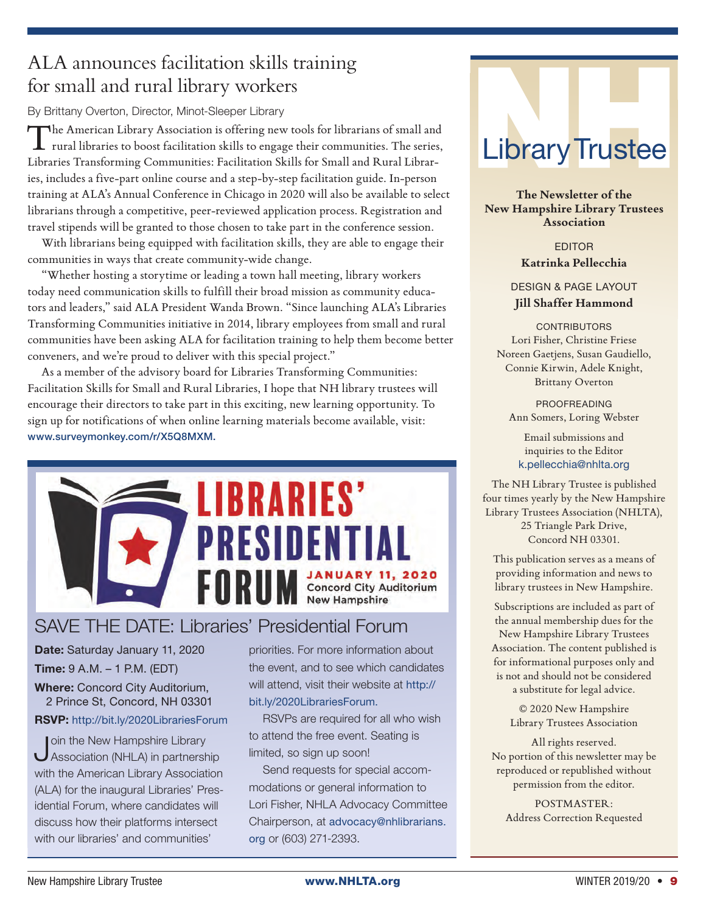### ALA announces facilitation skills training for small and rural library workers

By Brittany Overton, Director, Minot-Sleeper Library

The American Library Association is offering new tools for librarians of small and rural libraries to boost facilitation skills to engage their communities. The series, Libraries Transforming Communities: Facilitation Skills for Small and Rural Libraries, includes a five-part online course and a step-by-step facilitation guide. In-person training at ALA's Annual Conference in Chicago in 2020 will also be available to select librarians through a competitive, peer-reviewed application process. Registration and travel stipends will be granted to those chosen to take part in the conference session.

With librarians being equipped with facilitation skills, they are able to engage their communities in ways that create community-wide change.

"Whether hosting a storytime or leading a town hall meeting, library workers today need communication skills to fulfill their broad mission as community educators and leaders," said ALA President Wanda Brown. "Since launching ALA's Libraries Transforming Communities initiative in 2014, library employees from small and rural communities have been asking ALA for facilitation training to help them become better conveners, and we're proud to deliver with this special project."

As a member of the advisory board for Libraries Transforming Communities: Facilitation Skills for Small and Rural Libraries, I hope that NH library trustees will encourage their directors to take part in this exciting, new learning opportunity. To sign up for notifications of when online learning materials become available, visit: www.surveymonkey.com/r/X5Q8MXM.



### SAVE THE DATE: Libraries' Presidential Forum

Date: Saturday January 11, 2020 Time: 9 A.M. – 1 P.M. (EDT)

Where: Concord City Auditorium, 2 Prince St, Concord, NH 03301

#### RSVP: http://bit.ly/2020LibrariesForum

Join the New Hampshire Library<br>Association (NHLA) in partnership with the American Library Association (ALA) for the inaugural Libraries' Presidential Forum, where candidates will discuss how their platforms intersect with our libraries' and communities'

priorities. For more information about the event, and to see which candidates will attend, visit their website at http:// bit.ly/2020LibrariesForum.

RSVPs are required for all who wish to attend the free event. Seating is limited, so sign up soon!

Send requests for special accommodations or general information to Lori Fisher, NHLA Advocacy Committee Chairperson, at advocacy@nhlibrarians. org or (603) 271-2393.



**The Newsletter of the New Hampshire Library Trustees Association**

> EDITOR **Katrinka Pellecchia**

DESIGN & PAGE LAYOUT **Jill Shaffer Hammond**

**CONTRIBUTORS** Lori Fisher, Christine Friese Noreen Gaetjens, Susan Gaudiello, Connie Kirwin, Adele Knight, Brittany Overton

> PROOFREADING Ann Somers, Loring Webster

Email submissions and inquiries to the Editor k.pellecchia@nhlta.org

The NH Library Trustee is published four times yearly by the New Hampshire Library Trustees Association (NHLTA), 25 Triangle Park Drive, Concord NH 03301.

This publication serves as a means of providing information and news to library trustees in New Hampshire.

Subscriptions are included as part of the annual membership dues for the New Hampshire Library Trustees Association. The content published is for informational purposes only and is not and should not be considered a substitute for legal advice.

> © 2020 New Hampshire Library Trustees Association

All rights reserved. No portion of this newsletter may be reproduced or republished without permission from the editor.

POSTMASTER: Address Correction Requested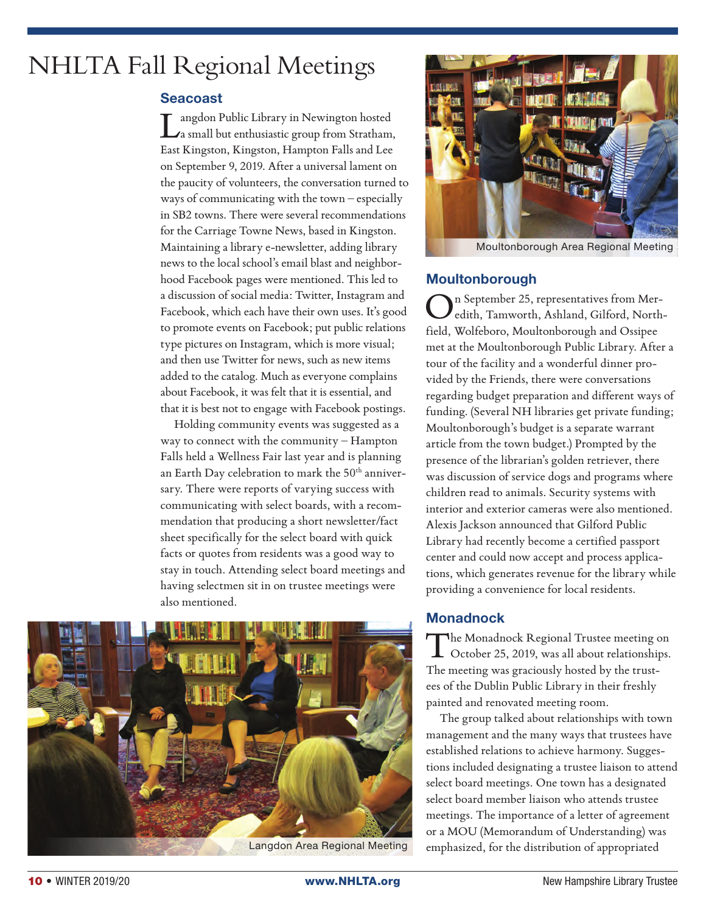### NHLTA Fall Regional Meetings

#### Seacoast

Langdon Public Library in Newington hosted a small but enthusiastic group from Stratham, East Kingston, Kingston, Hampton Falls and Lee on September 9, 2019. After a universal lament on the paucity of volunteers, the conversation turned to ways of communicating with the town – especially in SB2 towns. There were several recommendations for the Carriage Towne News, based in Kingston. Maintaining a library e-newsletter, adding library news to the local school's email blast and neighborhood Facebook pages were mentioned. This led to a discussion of social media: Twitter, Instagram and Facebook, which each have their own uses. It's good to promote events on Facebook; put public relations type pictures on Instagram, which is more visual; and then use Twitter for news, such as new items added to the catalog. Much as everyone complains about Facebook, it was felt that it is essential, and that it is best not to engage with Facebook postings.

Holding community events was suggested as a way to connect with the community – Hampton Falls held a Wellness Fair last year and is planning an Earth Day celebration to mark the 50<sup>th</sup> anniversary. There were reports of varying success with communicating with select boards, with a recommendation that producing a short newsletter/fact sheet specifically for the select board with quick facts or quotes from residents was a good way to stay in touch. Attending select board meetings and having selectmen sit in on trustee meetings were also mentioned.



Moultonborough Area Regional Meeting

#### **Moultonborough**

n September 25, representatives from Meredith, Tamworth, Ashland, Gilford, Northfield, Wolfeboro, Moultonborough and Ossipee met at the Moultonborough Public Library. After a tour of the facility and a wonderful dinner provided by the Friends, there were conversations regarding budget preparation and different ways of funding. (Several NH libraries get private funding; Moultonborough's budget is a separate warrant article from the town budget.) Prompted by the presence of the librarian's golden retriever, there was discussion of service dogs and programs where children read to animals. Security systems with interior and exterior cameras were also mentioned. Alexis Jackson announced that Gilford Public Library had recently become a certified passport center and could now accept and process applications, which generates revenue for the library while providing a convenience for local residents.

#### **Monadnock**

The Monadnock Regional Trustee meeting on October 25, 2019, was all about relationships. The meeting was graciously hosted by the trustees of the Dublin Public Library in their freshly painted and renovated meeting room.

The group talked about relationships with town management and the many ways that trustees have established relations to achieve harmony. Suggestions included designating a trustee liaison to attend select board meetings. One town has a designated select board member liaison who attends trustee meetings. The importance of a letter of agreement or a MOU (Memorandum of Understanding) was emphasized, for the distribution of appropriated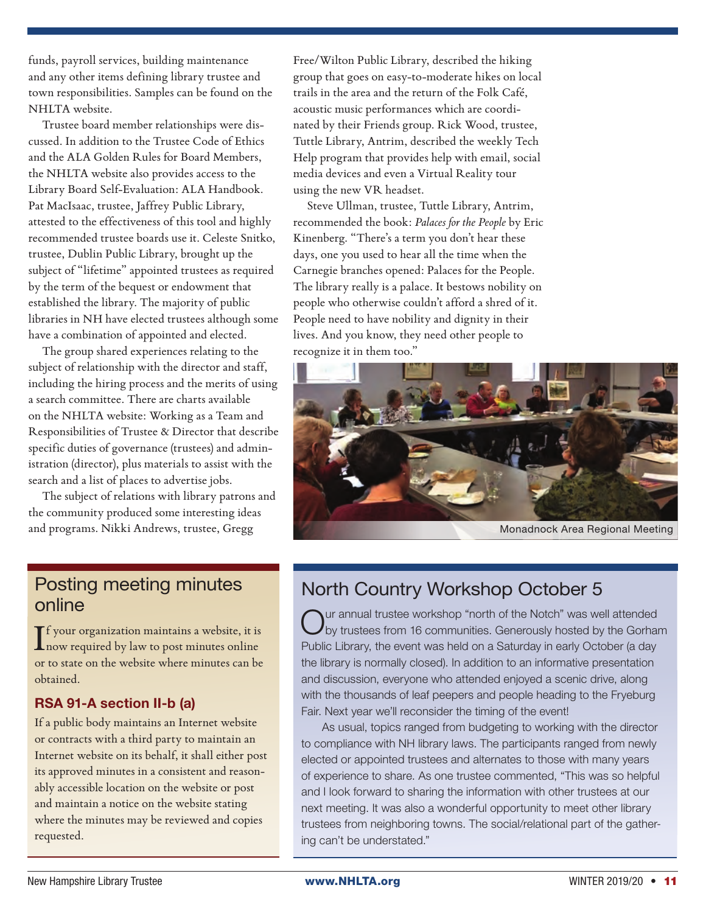funds, payroll services, building maintenance and any other items defining library trustee and town responsibilities. Samples can be found on the NHLTA website.

Trustee board member relationships were discussed. In addition to the Trustee Code of Ethics and the ALA Golden Rules for Board Members, the NHLTA website also provides access to the Library Board Self-Evaluation: ALA Handbook. Pat MacIsaac, trustee, Jaffrey Public Library, attested to the effectiveness of this tool and highly recommended trustee boards use it. Celeste Snitko, trustee, Dublin Public Library, brought up the subject of "lifetime" appointed trustees as required by the term of the bequest or endowment that established the library. The majority of public libraries in NH have elected trustees although some have a combination of appointed and elected.

The group shared experiences relating to the subject of relationship with the director and staff, including the hiring process and the merits of using a search committee. There are charts available on the NHLTA website: Working as a Team and Responsibilities of Trustee & Director that describe specific duties of governance (trustees) and administration (director), plus materials to assist with the search and a list of places to advertise jobs.

The subject of relations with library patrons and the community produced some interesting ideas and programs. Nikki Andrews, trustee, Gregg

Free/Wilton Public Library, described the hiking group that goes on easy-to-moderate hikes on local trails in the area and the return of the Folk Café, acoustic music performances which are coordinated by their Friends group. Rick Wood, trustee, Tuttle Library, Antrim, described the weekly Tech Help program that provides help with email, social media devices and even a Virtual Reality tour using the new VR headset.

Steve Ullman, trustee, Tuttle Library, Antrim, recommended the book: *Palaces for the People* by Eric Kinenberg. "There's a term you don't hear these days, one you used to hear all the time when the Carnegie branches opened: Palaces for the People. The library really is a palace. It bestows nobility on people who otherwise couldn't afford a shred of it. People need to have nobility and dignity in their lives. And you know, they need other people to recognize it in them too."



Monadnock Area Regional Meeting

#### Posting meeting minutes online

If your organization maintains a website, it is<br>now required by law to post minutes online Tf your organization maintains a website, it is or to state on the website where minutes can be obtained.

#### RSA 91-A section II-b (a)

If a public body maintains an Internet website or contracts with a third party to maintain an Internet website on its behalf, it shall either post its approved minutes in a consistent and reasonably accessible location on the website or post and maintain a notice on the website stating where the minutes may be reviewed and copies requested.

### North Country Workshop October 5

Our annual trustee workshop "north of the Notch" was well attended by trustees from 16 communities. Generously hosted by the Gorham Public Library, the event was held on a Saturday in early October (a day the library is normally closed). In addition to an informative presentation and discussion, everyone who attended enjoyed a scenic drive, along with the thousands of leaf peepers and people heading to the Fryeburg Fair. Next year we'll reconsider the timing of the event!

As usual, topics ranged from budgeting to working with the director to compliance with NH library laws. The participants ranged from newly elected or appointed trustees and alternates to those with many years of experience to share. As one trustee commented, "This was so helpful and I look forward to sharing the information with other trustees at our next meeting. It was also a wonderful opportunity to meet other library trustees from neighboring towns. The social/relational part of the gathering can't be understated."